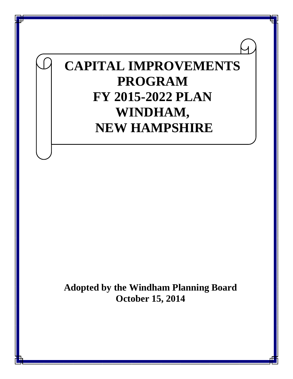# **CAPITAL IMPROVEMENTS PROGRAM FY 2015-2022 PLAN WINDHAM, NEW HAMPSHIRE**

**Adopted by the Windham Planning Board October 15, 2014**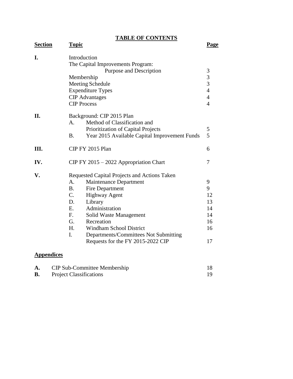**TABLE OF CONTENTS**

| <b>Section</b> | <b>Topic</b>                                               | <u>Page</u>    |
|----------------|------------------------------------------------------------|----------------|
| I.             | Introduction<br>The Capital Improvements Program:          |                |
|                | Purpose and Description                                    | 3              |
|                | Membership                                                 | $\frac{3}{3}$  |
|                | <b>Meeting Schedule</b>                                    |                |
|                | <b>Expenditure Types</b>                                   | $\overline{4}$ |
|                | <b>CIP</b> Advantages                                      | $\overline{4}$ |
|                | <b>CIP</b> Process                                         | $\overline{4}$ |
| II.            | Background: CIP 2015 Plan                                  |                |
|                | Method of Classification and<br>A.                         |                |
|                | Prioritization of Capital Projects                         | 5              |
|                | Year 2015 Available Capital Improvement Funds<br><b>B.</b> | 5              |
| III.           | CIP FY 2015 Plan                                           | 6              |
| IV.            | CIP FY 2015 - 2022 Appropriation Chart                     | 7              |
| V.             | Requested Capital Projects and Actions Taken               |                |
|                | Maintenance Department<br>А.                               | 9              |
|                | <b>B.</b><br>Fire Department                               | 9              |
|                | $C_{\cdot}$<br><b>Highway Agent</b>                        | 12             |
|                | D.<br>Library                                              | 13             |
|                | Administration<br>E.                                       | 14             |
|                | $F_{\rm c}$<br>Solid Waste Management                      | 14             |
|                | G.<br>Recreation                                           | 16             |
|                | <b>Windham School District</b><br>H.                       | 16             |
|                | $\mathbf{I}$ .<br>Departments/Committees Not Submitting    |                |
|                | Requests for the FY 2015-2022 CIP                          | 17             |
|                |                                                            |                |

# **Appendices**

| <b>CIP Sub-Committee Membership</b> |  |
|-------------------------------------|--|
| <b>Project Classifications</b>      |  |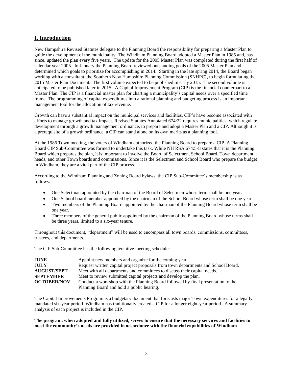# **I. Introduction**

New Hampshire Revised Statutes delegate to the Planning Board the responsibility for preparing a Master Plan to guide the development of the municipality. The Windham Planning Board adopted a Master Plan in 1985 and, has since, updated the plan every five years. The update for the 2005 Master Plan was completed during the first half of calendar year 2005. In January the Planning Board reviewed outstanding goals of the 2005 Master Plan and determined which goals to prioritize for accomplishing in 2014. Starting in the late spring 2014, the Board began working with a consultant, the Southern New Hampshire Planning Commission (SNHPC), to begin formulating the 2015 Master Plan Document. The first volume expected to be published in early 2015. The second volume is anticipated to be published later in 2015. A Capital Improvement Program (CIP) is the financial counterpart to a Master Plan. The CIP is a financial master plan for charting a municipality's capital needs over a specified time frame. The programming of capital expenditures into a rational planning and budgeting process is an important management tool for the allocation of tax revenue.

Growth can have a substantial impact on the municipal services and facilities. CIP's have become associated with efforts to manage growth and tax impact. Revised Statutes Annotated 674:22 requires municipalities, which regulate development through a growth management ordinance, to prepare and adopt a Master Plan and a CIP. Although it is a prerequisite of a growth ordinance, a CIP can stand alone on its own merits as a planning tool.

At the 1986 Town meeting, the voters of Windham authorized the Planning Board to prepare a CIP. A Planning Board CIP Sub-Committee was formed to undertake this task. While NH RSA 674:5-8 states that it is the Planning Board which prepares the plan, it is important to involve the Board of Selectmen, School Board, Town department heads, and other Town boards and commissions. Since it is the Selectmen and School Board who prepare the budget in Windham, they are a vital part of the CIP process.

According to the Windham Planning and Zoning Board bylaws, the CIP Sub-Committee's membership is as follows:

- One Selectman appointed by the chairman of the Board of Selectmen whose term shall be one year.
- One School board member appointed by the chairman of the School Board whose term shall be one year.
- Two members of the Planning Board appointed by the chairman of the Planning Board whose term shall be one year.
- Three members of the general public appointed by the chairman of the Planning Board whose terms shall be three years, limited to a six-year tenure.

Throughout this document, "department" will be used to encompass all town boards, commissions, committees, trustees, and departments.

The CIP Sub-Committee has the following tentative meeting schedule:

| <b>JUNE</b>        | Appoint new members and organize for the coming year.                             |
|--------------------|-----------------------------------------------------------------------------------|
| <b>JULY</b>        | Request written capital project proposals from town departments and School Board. |
| <b>AUGUST/SEPT</b> | Meet with all departments and committees to discuss their capital needs.          |
| <b>SEPTEMBER</b>   | Meet to review submitted capital projects and develop the plan.                   |
| <b>OCTOBER/NOV</b> | Conduct a workshop with the Planning Board followed by final presentation to the  |
|                    | Planning Board and hold a public hearing.                                         |

The Capital Improvements Program is a budgetary document that forecasts major Town expenditures for a legally mandated six-year period. Windham has traditionally created a CIP for a longer eight-year period. A summary analysis of each project is included in the CIP.

**The program, when adopted and fully utilized, serves to ensure that the necessary services and facilities to meet the community's needs are provided in accordance with the financial capabilities of Windham**.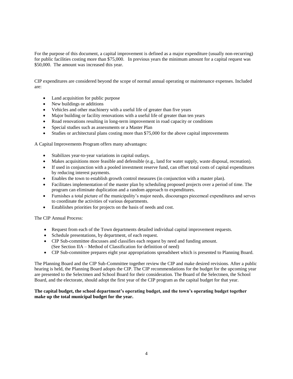For the purpose of this document, a capital improvement is defined as a major expenditure (usually non-recurring) for public facilities costing more than \$75,000. In previous years the minimum amount for a capital request was \$50,000. The amount was increased this year.

CIP expenditures are considered beyond the scope of normal annual operating or maintenance expenses. Included are:

- Land acquisition for public purpose
- New buildings or additions
- Vehicles and other machinery with a useful life of greater than five years
- Major building or facility renovations with a useful life of greater than ten years
- Road renovations resulting in long-term improvement in road capacity or conditions
- Special studies such as assessments or a Master Plan
- Studies or architectural plans costing more than \$75,000 for the above capital improvements

A Capital Improvements Program offers many advantages:

- Stabilizes year-to-year variations in capital outlays.
- Makes acquisitions more feasible and defensible (e.g., land for water supply, waste disposal, recreation).
- If used in conjunction with a pooled investment reserve fund, can offset total costs of capital expenditures by reducing interest payments.
- Enables the town to establish growth control measures (in conjunction with a master plan).
- Facilitates implementation of the master plan by scheduling proposed projects over a period of time. The program can eliminate duplication and a random approach to expenditures.
- Furnishes a total picture of the municipality's major needs, discourages piecemeal expenditures and serves to coordinate the activities of various departments.
- Establishes priorities for projects on the basis of needs and cost.

The CIP Annual Process:

- Request from each of the Town departments detailed individual capital improvement requests.
- Schedule presentations, by department, of each request.
- CIP Sub-committee discusses and classifies each request by need and funding amount. (See Section IIA – Method of Classification for definition of need)
- CIP Sub-committee prepares eight year appropriations spreadsheet which is presented to Planning Board.

The Planning Board and the CIP Sub-Committee together review the CIP and make desired revisions. After a public hearing is held, the Planning Board adopts the CIP. The CIP recommendations for the budget for the upcoming year are presented to the Selectmen and School Board for their consideration. The Board of the Selectmen, the School Board, and the electorate, should adopt the first year of the CIP program as the capital budget for that year.

#### **The capital budget, the school department's operating budget, and the town's operating budget together make up the total municipal budget for the year.**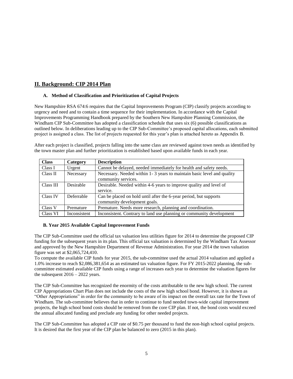# **II. Background: CIP 2014 Plan**

#### **A. Method of Classification and Prioritization of Capital Projects**

New Hampshire RSA 674:6 requires that the Capital Improvements Program (CIP) classify projects according to urgency and need and to contain a time sequence for their implementation. In accordance with the Capital Improvements Programming Handbook prepared by the Southern New Hampshire Planning Commission, the Windham CIP Sub-Committee has adopted a classification schedule that uses six (6) possible classifications as outlined below. In deliberations leading up to the CIP Sub-Committee's proposed capital allocations, each submitted project is assigned a class. The list of projects requested for this year's plan is attached hereto as Appendix B.

After each project is classified, projects falling into the same class are reviewed against town needs as identified by the town master plan and further prioritization is established based upon available funds in each year.

| <b>Class</b> | Category     | <b>Description</b>                                                     |
|--------------|--------------|------------------------------------------------------------------------|
| Class I      | Urgent       | Cannot be delayed, needed immediately for health and safety needs.     |
| Class II     | Necessary    | Necessary. Needed within 1-3 years to maintain basic level and quality |
|              |              | community services.                                                    |
| Class III    | Desirable    | Desirable. Needed within 4-6 years to improve quality and level of     |
|              |              | service.                                                               |
| Class IV     | Deferrable   | Can be placed on hold until after the 6-year period, but supports      |
|              |              | community development goals.                                           |
| Class V      | Premature    | Premature. Needs more research, planning and coordination.             |
| Class VI     | Inconsistent | Inconsistent. Contrary to land use planning or community development   |

#### **B. Year 2015 Available Capital Improvement Funds**

The CIP Sub-Committee used the official tax valuation less utilities figure for 2014 to determine the proposed CIP funding for the subsequent years in its plan. This official tax valuation is determined by the Windham Tax Assessor and approved by the New Hampshire Department of Revenue Administration. For year 2014 the town valuation figure was set at \$2,065,724,410.

To compute the available CIP funds for year 2015, the sub-committee used the actual 2014 valuation and applied a 1.0% increase to reach \$2,086,381,654 as an estimated tax valuation figure. For FY 2015-2022 planning, the subcommittee estimated available CIP funds using a range of increases each year to determine the valuation figures for the subsequent  $2016 - 2022$  years.

The CIP Sub-Committee has recognized the enormity of the costs attributable to the new high school. The current CIP Appropriations Chart Plan does not include the costs of the new high school bond. However, it is shown as "Other Appropriations" in order for the community to be aware of its impact on the overall tax rate for the Town of Windham. The sub-committee believes that in order to continue to fund needed town-wide capital improvement projects, the high school bond costs should be removed from the core CIP plan. If not, the bond costs would exceed the annual allocated funding and preclude any funding for other needed projects.

The CIP Sub-Committee has adopted a CIP rate of \$0.75 per thousand to fund the non-high school capital projects. It is desired that the first year of the CIP plan be balanced to zero (2015 in this plan).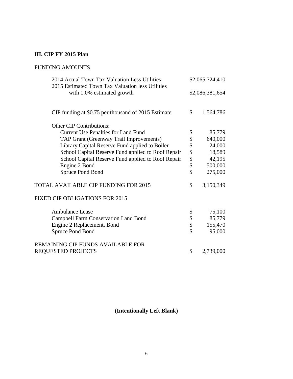# **III. CIP FY 2015 Plan**

# FUNDING AMOUNTS

| 2014 Actual Town Tax Valuation Less Utilities<br>2015 Estimated Town Tax Valuation less Utilities |                     | \$2,065,724,410 |  |
|---------------------------------------------------------------------------------------------------|---------------------|-----------------|--|
| with 1.0% estimated growth                                                                        | \$2,086,381,654     |                 |  |
| CIP funding at \$0.75 per thousand of 2015 Estimate                                               | \$                  | 1,564,786       |  |
| <b>Other CIP Contributions:</b>                                                                   |                     |                 |  |
| <b>Current Use Penalties for Land Fund</b>                                                        | \$                  | 85,779          |  |
| TAP Grant (Greenway Trail Improvements)                                                           | \$                  | 640,000         |  |
| Library Capital Reserve Fund applied to Boiler                                                    | \$                  | 24,000          |  |
| School Capital Reserve Fund applied to Roof Repair                                                |                     | 18,589          |  |
| School Capital Reserve Fund applied to Roof Repair                                                |                     | 42,195          |  |
| Engine 2 Bond                                                                                     | 888                 | 500,000         |  |
| Spruce Pond Bond                                                                                  | $\hat{\mathcal{L}}$ | 275,000         |  |
| TOTAL AVAILABLE CIP FUNDING FOR 2015                                                              | \$                  | 3,150,349       |  |
| FIXED CIP OBLIGATIONS FOR 2015                                                                    |                     |                 |  |
| <b>Ambulance Lease</b>                                                                            | \$                  | 75,100          |  |
| <b>Campbell Farm Conservation Land Bond</b>                                                       | \$                  | 85,779          |  |
| Engine 2 Replacement, Bond                                                                        | \$                  | 155,470         |  |
| Spruce Pond Bond                                                                                  | $\hat{\mathcal{S}}$ | 95,000          |  |
| REMAINING CIP FUNDS AVAILABLE FOR                                                                 |                     |                 |  |
| <b>REQUESTED PROJECTS</b>                                                                         | \$                  | 2,739,000       |  |

**(Intentionally Left Blank)**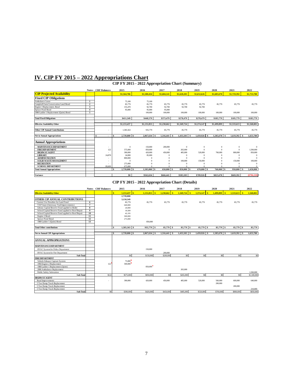# **IV. CIP FY 2015 – 2022 Appropriations Chart**

#### **CIP FY 2015 - 2022 Appropriation Chart (Summary)**

|                                        |                         | <b>Notes CRF</b> Balances | 2015               | 2016                | 2017                       | 2018           | 2019        | 2020                 | 2021                                | 2022        |
|----------------------------------------|-------------------------|---------------------------|--------------------|---------------------|----------------------------|----------------|-------------|----------------------|-------------------------------------|-------------|
| <b>CIP Projected Availability</b>      |                         |                           | \$1,564,786        | \$1,580,434         | \$1,604,141                | \$1,628,203    | \$1,652,626 | \$1,685,678          | \$1,719,392                         | \$1,753,780 |
| <b>Fixed CIP Obligations</b>           |                         |                           |                    |                     |                            |                |             |                      |                                     |             |
| Ambulance Lease                        |                         |                           | 75,100             | 75,100              |                            |                |             |                      |                                     |             |
| Campbell Farm Conservation Land Bond   | $\overline{\mathbf{2}}$ |                           | 85,779             | 85,779              | 85,779                     | 85,779         | 85,779      | 85,779               | 85,779                              | 85,779      |
| Engine 2 Replacement, Bond             | 3                       |                           | 155.470            | 92,700              | 92,700                     | 92.700         | 92.700      |                      |                                     |             |
| Spruce Pond Bond                       | $\Delta$                |                           | 95,000             | 95,000              | 95,000                     |                |             |                      |                                     |             |
| 1980 Ladder 1 Replacement (Quint) Bond | 5                       |                           |                    | 100,000             | 100,000                    | 100,000        | 100,000     | 100,000              | 100,000                             | 100,000     |
| <b>Total Fixed Obligations</b>         |                         |                           | \$411,349          | \$448,579           | \$373,479                  | \$278,479      | \$278,479   | \$185,779            | \$185,779                           | \$185,779   |
|                                        |                         |                           |                    |                     |                            |                |             |                      |                                     |             |
| <b>Effective Availability Other</b>    |                         |                           | \$1,153,437        | \$1,131,855         | \$1,230,662                | \$1,349,724    | \$1,374,147 | \$1,499,899          | \$1,533,613                         | \$1,568,001 |
| <b>Other CIP Annual Contributions</b>  |                         |                           | 1.585.563          | 935,779             | 85,779                     | 85,779         | 85,779      | 85,779               | 85,779                              | 85,779      |
| <b>Net to Annual Appropriations</b>    |                         | s<br>۰                    | 2.739,000 \$<br>\$ | $2,067,634$ \$      | 1,316,441 \$               | $1.435.503$ \$ | 1,459,926   | 1,585,678 \$<br>- \$ | 1.619.392 \$                        | 1,653,780   |
| <b>Annual Appropriations</b>           |                         |                           |                    |                     |                            |                |             |                      |                                     |             |
| <b>MAINTENANCE DEPARTMENT</b>          |                         | ٠                         |                    | 150,000<br>$\bf{0}$ | 200,000                    | $\Omega$       | $\Omega$    | $\Omega$             | $\theta$                            | $\Omega$    |
| <b>FIRE DEPARTMENT</b>                 |                         | 122                       | 575,000            | 850,000             | $\Omega$                   | 265,000        | $\Omega$    | $\Omega$             | $\mathbf{0}$                        | 1.500,000   |
| <b>HIGHWAY AGENT</b>                   |                         |                           | 390,000            | 420,000             | 450,000                    | 485,000        | 520,000     | 760,000              | 800,000                             | 850,000     |
| <b>LIBRARY</b>                         |                         | 24,878                    | 24,000             | 85,000              |                            | $\Omega$       | $\Omega$    |                      | $\Omega$                            | $\Omega$    |
| <b>ADMINISTRATION</b>                  |                         |                           | 800,000            |                     |                            | $\Omega$       |             |                      | $\theta$                            | $\Omega$    |
| <b>SOLID WASTEMANAGEMENT</b>           |                         |                           |                    | $\Omega$            |                            | 100,000        | 150,000     |                      | 150,000                             | 100,000     |
| <b>RECREATION</b>                      |                         |                           | 275,000            |                     |                            | $\Omega$       |             |                      | $\Omega$                            | $\Omega$    |
| <b>SCHOOL DEPARTMENT</b>               |                         | 89,609                    | 675,000            |                     | $\Omega$                   | $\Omega$       | $\Omega$    | $\Omega$             | $\theta$                            | $\Omega$    |
| <b>Total Annual Appropriations</b>     |                         |                           | \$<br>2,739,000 \$ | 1,505,000           | $\mathbf{s}$<br>650,000 \$ | 850,000 \$     | 670,000     | 760,000 \$<br>l \$   | 950,000<br>$\overline{\phantom{a}}$ | 2,450,000   |
| Variance                               |                         |                           | \$0                | \$562,634           | \$666,441                  | \$585.503      | \$789,926   | \$825,678            | \$669,392                           | (S796, 220) |

#### **CIP FY 2015 - 2022 Appropriation Chart (Details)**

|                                                    |                  | <b>Notes CRF</b> Balances | 2015                          | 2016           | 2017                           | 2018            | 2019                      | 2020           | 2021           | 2022        |
|----------------------------------------------------|------------------|---------------------------|-------------------------------|----------------|--------------------------------|-----------------|---------------------------|----------------|----------------|-------------|
| <b>Effective Availability Other</b>                |                  |                           | $1.153.437$ S<br>$\mathbf{s}$ | 1,131,855      | $\mathbf{s}$<br>$1,230,662$ \$ | $1,349,724$ \$  | $\mathbf{s}$<br>1,374,147 | $1,499,899$ \$ | $1,533,613$ S  | 1,568,001   |
|                                                    |                  |                           | 2,739,000                     |                |                                |                 |                           |                |                |             |
| OTHER CIP ANNUAL CONTRIBUTIONS                     |                  |                           | 3,150,349                     |                |                                |                 |                           |                |                |             |
| Current Use Penalties for Land Fund                | 6                |                           | 85,779                        | 85,779         | 85,779                         | 85,779          | 85,779                    | 85,779         | 85,779         | 85,779      |
| TAP Grant (Greenway Trail Improvements)            | $\overline{7}$   |                           | 640,000                       |                |                                |                 |                           |                |                |             |
| Library Capital Reserve Fund applied to Boiler     | 8                |                           | 24,000                        |                |                                |                 |                           |                |                |             |
| School Capital Reserve Fund applied to Roof Repair | $\boldsymbol{9}$ |                           | 18,589                        |                |                                |                 |                           |                |                |             |
| School Capital Reserve Fund applied to Roof Repair | 10               |                           | 42.195                        |                |                                |                 |                           |                |                |             |
| Engine 2 Bond                                      | 11               |                           | 500,000                       |                |                                |                 |                           |                |                |             |
| Spruce Pond Bond                                   | 12               |                           | 275,000                       |                |                                |                 |                           |                |                |             |
| 1980 Ladder 1 (Quint) Bond                         | 13               |                           |                               | 850,000        |                                |                 |                           |                |                |             |
| <b>Total Other contributions</b>                   |                  |                           | $1,585,563$ \$<br>\$          | 935,779 \$     | $85,779$ \$                    | $85,779$ \ \\$  | 85,779 \$                 |                | 85,779<br>l \$ | 85,779      |
|                                                    |                  |                           |                               |                |                                |                 |                           |                |                |             |
| <b>Net to Annual CIP Appropriations</b>            |                  |                           | 2,739,000 \$<br>\$            | $2,067,634$ \$ | $1,316,441$ \$                 | $1,435,503$ \$  | $1.459.926$ \$            | 1,585,678 \$   | $1.619.392$ S  | 1,653,780   |
|                                                    |                  |                           |                               |                |                                |                 |                           |                |                |             |
| <b>ANNUAL APPROPRIATIONS</b>                       |                  |                           |                               |                |                                |                 |                           |                |                |             |
| <b>MAINTENANCE DEPARTMENT</b>                      |                  |                           |                               |                |                                |                 |                           |                |                |             |
| HVAC System for Police Department                  |                  |                           |                               | 150,000        |                                |                 |                           |                |                |             |
| HVAC System for Fire Department                    |                  |                           |                               |                | 200,000                        |                 |                           |                |                |             |
| Sub-Total                                          |                  |                           | S <sub>0</sub>                | \$150,000      | \$200,000                      | $\overline{50}$ | S <sub>0</sub>            | S <sub>0</sub> | 50             | \$0         |
| <b>FIRE DEPARTMENT</b>                             |                  |                           |                               |                |                                |                 |                           |                |                |             |
| Vehicle Exhaust Capture System                     |                  |                           | 75,000                        |                |                                |                 |                           |                |                |             |
| 1994 Engine-2 Replacement                          |                  | 122                       | 500,000                       |                |                                |                 |                           |                |                |             |
| 1980 Ladder 1 Replacement (Quint)                  |                  |                           |                               | 850,000        |                                |                 |                           |                |                |             |
| 2006 Ambulance Replacement                         |                  |                           |                               |                |                                | 265,000         |                           |                |                |             |
| Public Safety Substation                           |                  |                           |                               |                |                                |                 |                           |                |                | 1,500,000   |
| Sub-Total                                          |                  | \$122                     | \$575,000                     | \$850,000      | S <sub>0</sub>                 | \$265,000       | \$0                       | S <sub>0</sub> | S <sub>0</sub> | \$1,500,000 |
| <b>HIGHWAY AGENT</b>                               |                  |                           |                               |                |                                |                 |                           |                |                |             |
| Road Improvements                                  |                  |                           | 390,000                       | 420,000        | 450,000                        | 485,000         | 520,000                   | 560,000        | 600,000        | 640,000     |
| 5 Ton Dump Truck Replacement                       |                  |                           |                               |                |                                |                 |                           | 200,000        |                |             |
| 5 Ton Dump Truck Replacement                       |                  |                           |                               |                |                                |                 |                           |                | 200,000        |             |
| 5 Ton Dump Truck Replacement                       |                  |                           |                               |                |                                |                 |                           |                |                | 210,000     |
| Sub-Total                                          |                  | $\boldsymbol{S}$          | \$390,000                     | \$420,000      | \$450,000                      | \$485,000       | \$520,000                 | \$760,000      | \$800,000      | \$850,000   |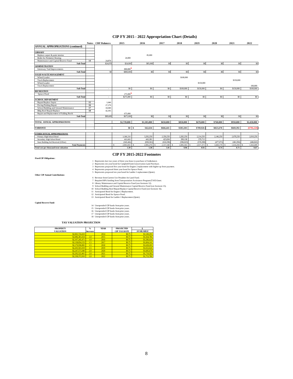#### **CIP FY 2015 - 2022 Appropriation Chart (Details)**

|                                          |    | <b>Notes CRF</b> Balances | 2015                          | 2016           | 2017           | 2018           | 2019       | 2020           | 2021           | 2022           |
|------------------------------------------|----|---------------------------|-------------------------------|----------------|----------------|----------------|------------|----------------|----------------|----------------|
| <b>ANNUAL APPROPRIATIONS (continued)</b> |    |                           |                               |                |                |                |            |                |                |                |
|                                          |    |                           |                               |                |                |                |            |                |                |                |
| <b>LIBRARY</b>                           |    |                           |                               |                |                |                |            |                |                |                |
| Replace carpet & paint interior          |    |                           |                               | 85,000         |                |                |            |                |                |                |
| Boiler for Perimeter Heating             |    |                           | 24,000                        |                |                |                |            |                |                |                |
| Maintenance and Capital Reserve Fund     | 14 | 24,878                    |                               |                |                |                |            |                |                |                |
| Sub-Total                                |    | \$24,878                  | \$24,000                      | \$85,000       | S <sub>0</sub> | \$0            | \$0        | S <sub>0</sub> | S <sub>0</sub> | S <sub>0</sub> |
| <b>ADMINISTRATION</b>                    |    |                           |                               |                |                |                |            |                |                |                |
| Greenway Trail Improvements              |    |                           | 800,000                       |                |                |                |            |                |                |                |
| Sub-Total                                |    | \$0                       | \$800,000                     | \$0            | S <sub>0</sub> | \$0            | \$0        | S <sub>0</sub> | \$0            | \$0            |
| SOLID WASTEMANAGEMENT                    |    |                           |                               |                |                |                |            |                |                |                |
| Wheel Loader                             |    |                           |                               |                |                | \$100,000      |            |                |                |                |
| Truck Replacement                        |    |                           |                               |                |                |                |            |                | \$150,000      |                |
| Wheel Loader                             |    |                           |                               |                |                |                | \$150,000  |                |                |                |
| Truck Replacement                        |    |                           |                               |                |                |                |            |                |                | 100,000        |
| Sub-Total                                |    | $\overline{\phantom{a}}$  | \$0                           | S <sub>0</sub> | S <sub>0</sub> | \$100,000      | \$150,000  | \$0            | \$150,000      | \$100,000      |
| <b>RECREATION</b>                        |    |                           |                               |                |                |                |            |                |                |                |
| Spruce Pond                              |    |                           | 275,000                       |                |                |                |            |                |                |                |
| Sub-Total                                |    | ٠                         | \$275,000                     | \$0            | \$0            | \$0            | \$0        | \$0            | \$0            | \$0            |
| <b>SCHOOL DEPARTMENT</b>                 |    |                           |                               |                |                |                |            |                |                |                |
| Repair/Replace Septic                    | 15 | 1,646                     |                               |                |                |                |            |                |                |                |
| Paving/Parking Repair                    | 16 | 27,179                    |                               |                |                |                |            |                |                |                |
| School Building and Ground Maintenance   | 17 | 18,589                    |                               |                |                |                |            |                |                |                |
| <b>Bldg Roof Repair/Replace</b>          | 18 | 42,195                    |                               |                |                |                |            |                |                |                |
| Repair and Replacement of Failiing Roofs |    |                           | 675,000                       |                |                |                |            |                |                |                |
| Sub-Total                                |    | \$89,609                  | \$675,000                     | S <sub>0</sub> | S <sub>0</sub> | <sub>\$0</sub> | \$0        | S <sub>0</sub> | \$0            | \$0            |
|                                          |    |                           |                               |                |                |                |            |                |                |                |
| TOTAL ANNUAL APPROPRIATIONS              |    |                           | \$2,739,000                   | \$1,505,000    | \$650,000      | \$850,000      | \$670,000  | \$760,000      | \$950,000      | \$2,450,000    |
|                                          |    |                           |                               |                |                |                |            |                |                |                |
| <b>VARIANCE</b>                          |    |                           | $$0$ $\overline{\phantom{0}}$ | 562,634        | \$666,441      | \$585,503      | \$789,926  | \$825,678      | \$669,392      | (\$796,220     |
|                                          |    |                           |                               |                |                |                |            |                |                |                |
| OTHER ANNUAL APPROPRIATIONS              |    |                           |                               |                |                |                |            |                |                |                |
| Primary High School Bond                 |    |                           | 3,388,250                     | 3,292,250      | 2,350,250      | 2,282,250      | 2,214,250  | 2,146,250      | 2,078,250      | 2,010,250      |
| Secondary High School Bond               |    |                           | 463,069                       | 443,381        | 423,694        | 399,138        | 379,713    |                |                |                |
| State Building Aid Received (Offset)     |    |                           | (949, 486)                    | (830, 361)     | (616, 596)     | (596, 023)     | (576, 590) | (477,071)      | (461,956)      | (446, 841)     |
| <b>Total Payments</b>                    |    |                           | 2.901.833<br>¢                | 2.905.270      | 2.157.348      | 2.085.365      | 2.017.373  | 1.669.179      | 1.616.294      | 1.563.409      |
| Total cost per thousand town valuation   |    |                           | 1.39                          | 1.38           | 1.01           | 0.96           | 0.92       | 0.74           | 0.71           | 0.67           |

#### **CIP FY 2015-2022 Footnotes**

**Fixed CIP Obligations:**

1 Represents last two years of three year lease to purchase of Ambulance.<br>2 Represents ten year bond for Campbell FamConservation Land Purchase.<br>3 Represents proposed five year bond for Engine 2 replacement with higher up

**Other CIP Annual Contributions:**

- 
- 
- 6 Revenue from Current Use Penalties for Land Fund.<br>
7 Required 80% funding from Transportation Assistance Program (TAP) Grant.<br>
8 Library Maintenance and Captial Reserve Fund (see footnote 12).<br>
9 School Buiding and Grou
- 
- 
- 

**Capital Reserve Fund:**

|  | 14 Unexpended CIP funds from prior years. |  |
|--|-------------------------------------------|--|
|  | 15 Unexpended CIP funds from prior years. |  |

- 
- 15 Unexpended CIP funds from prior years. 16 Unexpended CIP funds from prior years. 17 Unexpended CIP funds from prior years. 18 Unexpended CIP funds from prior years.

#### **TAX VALUATION PROJECTION**

| <b>PROPERTY</b>  | $\frac{0}{\alpha}$ | YEAR | <b>PROJECTED</b>    |                  |
|------------------|--------------------|------|---------------------|------------------|
| <b>VALUATION</b> | <b>Increase</b>    |      | <b>CIP TAX RATE</b> | <b>AVAILABLE</b> |
| \$2,065,724,410  |                    | 2014 | \$0.75              | \$1,549,293      |
| \$2,086,381,654  | 1.0                | 2015 | \$0.75              | \$1,564,786      |
| \$2,107,245,471  | 1.0                | 2016 | \$0.75              | \$1,580,434      |
| \$2,138,854,153  | 1.5                | 2017 | \$0.75              | \$1,604.141      |
| \$2,170,936,965  | 1.5                | 2018 | \$0.75              | \$1,628,203      |
| \$2,203,501,019  | 1.5                | 2019 | \$0.75              | \$1,652,626      |
| \$2,247,571,040  | 2.0                | 2020 | \$0.75              | \$1,685,678      |
| \$2,292,522,461  | 2.0                | 2021 | \$0.75              | \$1,719.392      |
| \$2,338,372,910  | 2.0                | 2022 | \$0.75              | \$1,753,780      |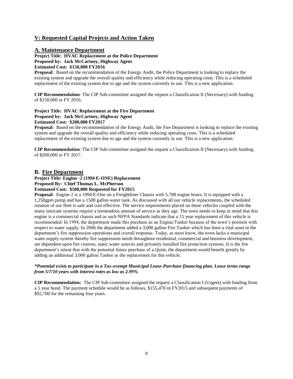# **V: Requested Capital Projects and Action Taken**

#### **A. Maintenance Department**

**Project Title: HVAC Replacement at the Police Department Proposed by: Jack McCartney, Highway Agent Estimated Cost: \$150,000 FY2016**

**Proposal**: Based on the recommendation of the Energy Audit, the Police Department is looking to replace the existing system and upgrade the overall quality and efficiency while reducing operating costs. This is a scheduled replacement of the existing system due to age and the system currently in use. This is a new application.

**CIP Recommendation**: The CIP Sub-committee assigned the request a Classification II (Necessary) with funding of \$150,000 in FY 2016.

#### **Project Title: HVAC Replacement at the Fire Department Proposed by: Jack McCartney, Highway Agent Estimated Cost: \$200,000 FY2017**

**Proposal**: Based on the recommendation of the Energy Audit, the Fire Department is looking to replace the existing system and upgrade the overall quality and efficiency while reducing operating costs. This is a scheduled replacement of the existing system due to age and the system currently in use. This is a new application.

**CIP Recommendation**: The CIP Sub-committee assigned the request a Classification II (Necessary) with funding of \$200,000 in FY 2017.

#### **B. Fire Department**

#### **Project Title: Engine -2 (1994 E-ONE) Replacement Proposed By: Chief Thomas L. McPherson Estimated Cost: \$500,000 Requested for FY2015**

**Proposal**: Engine 2 is a 1994 E-One on a Freightliner Chassis with 5,788 engine hours. It is equipped with a 1,250gpm pump and has a 1500 gallon water tank. As discussed with all our vehicle replacements, the scheduled rotation of our fleet is safe and cost effective. The service requirements placed on these vehicles coupled with the many intricate systems require a tremendous amount of service as they age. The town needs to keep in mind that this engine is a commercial chassis and as such NFPA Standards indicate that a 15 year replacement of this vehicle is recommended. In 1994, the department made this purchase as an Engine/Tanker because of the town's position with respect to water supply. In 2006 the department added a 3,000 gallon Fire Tanker which has been a vital asset in the department's fire suppression operations and overall response. Today, as most know, the town lacks a municipal water supply system thereby fire suppression needs throughout residential, commercial and business development, are dependent upon fire cisterns, static water sources and privately installed fire protection systems. It is the fire department's intent that with the potential future purchase of a Quint, the department would benefit greatly by adding an additional 3,000 gallon Tanker as the replacement for this vehicle.

#### *\*Potential exists to participate in a Tax-exempt Municipal Lease-Purchase financing plan. Lease terms range from 5/7/10 years with interest rates as low as 2.99%*

**CIP Recommendation:** The CIP Sub-committee assigned the request a Classification I (Urgent) with funding from a 5 year bond. The payment schedule would be as follows, \$155,470 in FY2015 and subsequent payments of \$92,700 for the remaining four years.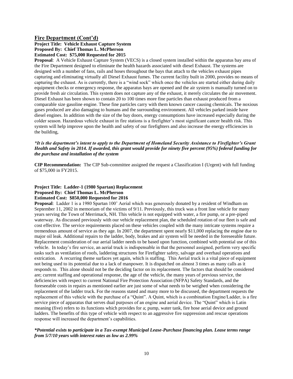#### **Fire Department (Cont'd)**

#### **Project Title: Vehicle Exhaust Capture System Proposed By: Chief Thomas L. McPherson Estimated Cost: \$75,000 Requested for 2015**

**Proposal**: A Vehicle Exhaust Capture System (VECS) is a closed system installed within the apparatus bay area of the Fire Department designed to eliminate the health hazards associated with diesel Exhaust. The systems are designed with a number of fans, rails and hoses throughout the bays that attach to the vehicles exhaust pipes capturing and eliminating virtually all Diesel Exhaust fumes. The current facility built in 2000, provides no means of capturing the exhaust. As is currently, there is a "wind sock" which once the vehicles are started either during daily equipment checks or emergency response, the apparatus bays are opened and the air system is manually turned on to provide fresh air circulation. This system does not capture any of the exhaust, it merely circulates the air movement. Diesel Exhaust has been shown to contain 20 to 100 times more fine particles than exhaust produced from a comparable size gasoline engine. These fine particles carry with them known cancer causing chemicals. The noxious gases produced are also damaging to humans and the surrounding environment. All vehicles parked inside have diesel engines. In addition with the size of the bay doors, energy consumptions have increased especially during the colder season. Hazardous vehicle exhaust in fire stations is a firefighter's most significant cancer health risk. This system will help improve upon the health and safety of our firefighters and also increase the energy efficiencies in the building,

#### *\*It is the department's intent to apply to the Department of Homeland Security Assistance to Firefighter's Grant Health and Safety in 2014. If awarded, this grant would provide for ninety five percent (95%) federal funding for the purchase and installation of the system*

**CIP Recommendation:** The CIP Sub-committee assigned the request a Classification I (Urgent) with full funding of \$75,000 in FY2015.

#### **Project Title: Ladder-1 (1980 Spartan) Replacement Proposed By: Chief Thomas L. McPherson Estimated Cost: \$850,000 Requested for 2016**

**Proposal**: Ladder 1 is a 1980 Spartan 100' Aerial which was generously donated by a resident of Windham on September 11, 2002 in memoriam of the victims of 9/11. Previously, this truck was a front line vehicle for many years serving the Town of Merrimack, NH. This vehicle is not equipped with water, a fire pump, or a pre-piped waterway. As discussed previously with our vehicle replacement plan, the scheduled rotation of our fleet is safe and cost effective. The service requirements placed on these vehicles coupled with the many intricate systems require a tremendous amount of service as they age. In 2007, the department spent nearly \$11,000 replacing the engine due to major oil leak. Additional repairs to the ladder, body, brakes and air system will be needed in the foreseeable future. Replacement consideration of our aerial ladder needs to be based upon function, combined with potential use of this vehicle. In today's fire service, an aerial truck is indispensable in that the personnel assigned, perform very specific tasks such as ventilation of roofs, laddering structures for Firefighter safety, salvage and overhaul operations and extrication. A recurring theme surfaces yet again, which is staffing. This Aerial truck is a vital piece of equipment not being used to its potential due to a lack of manpower. It is dispatched on almost 3 times as many calls as it responds to. This alone should not be the deciding factor on its replacement. The factors that should be considered are; current staffing and operational response, the age of the vehicle, the many years of previous service, the deficiencies with respect to current National Fire Protection Association (NFPA) Safety Standards, and the foreseeable costs in repairs as mentioned earlier are just some of what needs to be weighed when considering the replacement of the ladder truck. For the reasons stated and many more to be discussed, the department requests the replacement of this vehicle with the purchase of a "Quint". A Quint, which is a combination Engine/Ladder, is a fire service piece of apparatus that serves dual purposes of an engine and aerial device. The "Quint" which is Latin meaning (five) refers to its functions which provides for a; pump, water tank, fire hose aerial device and ground ladders. The benefits of this type of vehicle with respect to an aggressive fire suppression and rescue operations response will increased the department's capabilities.

#### *\*Potential exists to participate in a Tax-exempt Municipal Lease-Purchase financing plan. Lease terms range from 5/7/10 years with interest rates as low as 2.99%*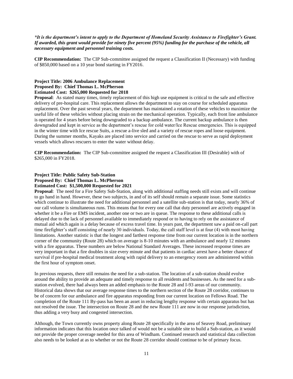#### *\*It is the department's intent to apply to the Department of Homeland Security Assistance to Firefighter's Grant. If awarded, this grant would provide for ninety five percent (95%) funding for the purchase of the vehicle, all necessary equipment and personnel training costs.*

**CIP Recommendation:** The CIP Sub-committee assigned the request a Classification II (Necessary) with funding of \$850,000 based on a 10 year bond starting in FY2016.

#### **Project Title: 2006 Ambulance Replacement Proposed By: Chief Thomas L. McPherson Estimated Cost: \$265,000 Requested for 2018**

**Proposal**: As stated many times, timely replacement of this high use equipment is critical to the safe and effective delivery of pre-hospital care. This replacement allows the department to stay on course for scheduled apparatus replacement. Over the past several years, the department has maintained a rotation of these vehicles to maximize the useful life of these vehicles without placing strain on the mechanical operation. Typically, each front line ambulance is operated for 4 years before being downgraded to a backup ambulance. The current backup ambulance is then downgraded and kept in service as the department's rescue for cold water/Ice Rescue emergencies. This is equipped in the winter time with Ice rescue Suits, a rescue a-live sled and a variety of rescue ropes and loose equipment. During the summer months, Kayaks are placed into service and carried on the rescue to serve as rapid deployment vessels which allows rescuers to enter the water without delay.

**CIP Recommendation:** The CIP Sub-committee assigned the request a Classification III (Desirable) with of \$265,000 in FY2018.

#### **Project Title: Public Safety Sub-Station Proposed By: Chief Thomas L. McPherson Estimated Cost: \$1,500,000 Requested for 2021**

**Proposal**: The need for a Fire Safety Sub-Station, along with additional staffing needs still exists and will continue to go hand in hand. However, these two subjects, in and of its self should remain a separate issue. Some statistics which continue to illustrate the need for additional personnel and a satellite sub-station is that today, nearly 36% of our call volume is simultaneous runs. This means that for every one call that duty personnel are actively engaged in whether it be a Fire or EMS incident, another one or two are in queue. The response to these additional calls is delayed due to the lack of personnel available to immediately respond or to having to rely on the assistance of mutual aid which again is a delay because of excess travel time. In years past, the department saw a paid on-call part time firefighter's staff consisting of nearly 30 individuals. Today, the call staff level is at four (4) with most having limitations. Another statistic is that the longest and farthest response time from our current location is in the northern corner of the community (Route 28) which on average is 8-10 minutes with an ambulance and nearly 12 minutes with a fire apparatus. These numbers are below National Standard Averages. These increased response times are very important in that a fire doubles in size every minute and that patients in cardiac arrest have a better chance of survival if pre-hospital medical treatment along with rapid delivery to an emergency room are administered within the first hour of symptom onset.

In previous requests, there still remains the need for a sub-station. The location of a sub-station should evolve around the ability to provide an adequate and timely response to all residents and businesses. As the need for a substation evolved, there had always been an added emphasis to the Route 28 and I-93 areas of our community. Historical data shows that our average response times to the northern section of the Route 28 corridor, continues to be of concern for our ambulance and fire apparatus responding from our current location on Fellows Road. The completion of the Route 111 By-pass has been an asset in reducing lengthy response with certain apparatus but has not resolved the issue. The intersection on Route 28 and the new Route 111 are now in our response jurisdiction, thus adding a very busy and congested intersection.

Although, the Town currently owns property along Route 28 specifically in the area of Seavey Road, preliminary information indicates that this location once talked of would not be a suitable site to build a Sub-station, as it would not provide the proper coverage needed for this area of Windham. Continued research and statistical data collection also needs to be looked at as to whether or not the Route 28 corridor should continue to be of primary focus.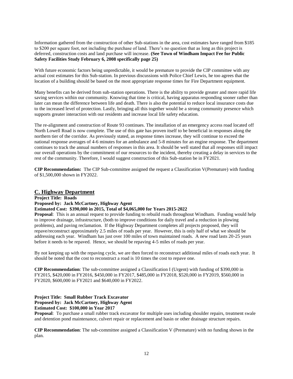Information gathered from the construction of other Sub-stations in the area, cost estimates have ranged from \$185 to \$200 per square foot, not including the purchase of land. There's no question that as long as this project is deferred, construction costs and land purchase will increase. **(See Town of Windham Impact Fee for Public Safety Facilities Study February 6, 2008 specifically page 25)** 

With future economic factors being unpredictable, it would be premature to provide the CIP committee with any actual cost estimates for this Sub-station. In previous discussions with Police Chief Lewis, he too agrees that the location of a building should be based on the most appropriate response times for Fire Department equipment.

Many benefits can be derived from sub-station operations. There is the ability to provide greater and more rapid life saving services within our community. Knowing that time is critical, having apparatus responding sooner rather than later can mean the difference between life and death. There is also the potential to reduce local insurance costs due to the increased level of protection. Lastly, bringing all this together would be a strong community presence which supports greater interaction with our residents and increase local life safety education.

The re-alignment and construction of Route 93 continues. The installation of an emergency access road located off North Lowell Road is now complete. The use of this gate has proven itself to be beneficial in responses along the northern tier of the corridor. As previously stated, as response times increase, they will continue to exceed the national response averages of 4-6 minutes for an ambulance and 5-8 minutes for an engine response. The department continues to track the annual numbers of responses in this area. It should be well stated that all responses still impact our overall operations by the commitment of our resources to the incident, thereby creating a delay in services to the rest of the community. Therefore, I would suggest construction of this Sub-station be in FY2021.

**CIP Recommendation:** The CIP Sub-committee assigned the request a Classification V(Premature) with funding of \$1,500,000 shown in FY2022.

#### **C. Highway Department**

**Project Title: Roads**

**Proposed by: Jack McCartney, Highway Agent**

#### **Estimated Cost: \$390,000 in 2015, Total of \$4,065,000 for Years 2015-2022**

**Proposal**: This is an annual request to provide funding to rebuild roads throughout Windham. Funding would help to improve drainage, infrastructure, (both to improve conditions for daily travel and a reduction in plowing problems), and paving reclamation. If the Highway Department completes all projects proposed, they will repave/reconstruct approximately 2.5 miles of roads per year. However, this is only half of what we should be addressing each year. Windham has just over 100 miles of town maintained roads. A new road lasts 20-25 years before it needs to be repaved. Hence, we should be repaving 4-5 miles of roads per year.

By not keeping up with the repaving cycle, we are then forced to reconstruct additional miles of roads each year. It should be noted that the cost to reconstruct a road is 10 times the cost to repave one.

**CIP Recommendation**: The sub-committee assigned a Classification I (Urgent) with funding of \$390,000 in FY2015, \$420,000 in FY2016, \$450,000 in FY2017, \$485,000 in FY2018, \$520,000 in FY2019, \$560,000 in FY2020, \$600,000 in FY2021 and \$640,000 in FY2022.

**Project Title: Small Rubber Track Excavator Proposed by: Jack McCartney, Highway Agent Estimated Cost: \$100,000 in Year 2017**

**Proposal**: To purchase a small rubber track excavator for multiple uses including shoulder repairs, treatment swale and detention pond maintenance, culvert repair or replacement and basin or other drainage structure repairs.

**CIP Recommendation**: The sub-committee assigned a Classification V (Premature) with no funding shown in the plan.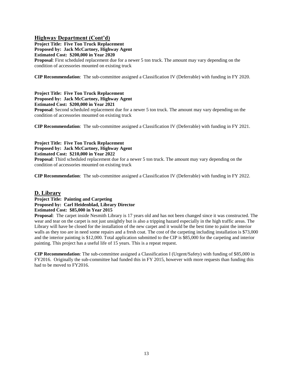#### **Highway Department (Cont'd)**

**Project Title: Five Ton Truck Replacement Proposed by: Jack McCartney, Highway Agent Estimated Cost: \$200,000 in Year 2020**

**Proposal**: First scheduled replacement due for a newer 5 ton truck. The amount may vary depending on the condition of accessories mounted on existing truck

**CIP Recommendation**: The sub-committee assigned a Classification IV (Deferrable) with funding in FY 2020.

#### **Project Title: Five Ton Truck Replacement Proposed by: Jack McCartney, Highway Agent Estimated Cost: \$200,000 in Year 2021**

**Proposal**: Second scheduled replacement due for a newer 5 ton truck. The amount may vary depending on the condition of accessories mounted on existing truck

**CIP Recommendation**: The sub-committee assigned a Classification IV (Deferrable) with funding in FY 2021.

# **Project Title: Five Ton Truck Replacement**

**Proposed by: Jack McCartney, Highway Agent**

**Estimated Cost: \$210,000 in Year 2022**

**Proposal**: Third scheduled replacement due for a newer 5 ton truck. The amount may vary depending on the condition of accessories mounted on existing truck

**CIP Recommendation**: The sub-committee assigned a Classification IV (Deferrable) with funding in FY 2022.

#### **D. Library**

#### **Project Title: Painting and Carpeting Proposed by: Carl Heidenblad, Library Director Estimated Cost: \$85,000 in Year 2015**

**Proposal**: The carpet inside Nesmith Library is 17 years old and has not been changed since it was constructed. The wear and tear on the carpet is not just unsightly but is also a tripping hazard especially in the high traffic areas. The Library will have be closed for the installation of the new carpet and it would be the best time to paint the interior walls as they too are in need some repairs and a fresh coat. The cost of the carpeting including installation is \$73,000 and the interior painting is \$12,000. Total application submitted to the CIP is \$85,000 for the carpeting and interior painting. This project has a useful life of 15 years. This is a repeat request.

**CIP Recommendation**: The sub-committee assigned a Classification I (Urgent/Safety) with funding of \$85,000 in FY2016. Originally the sub-committee had funded this in FY 2015, however with more requests than funding this had to be moved to FY2016.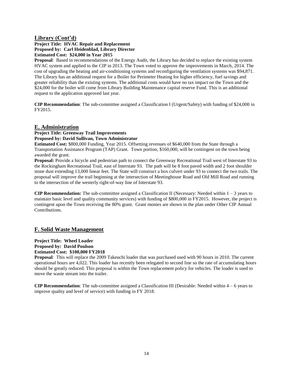#### **Library (Cont'd)**

#### **Project Title: HVAC Repair and Replacement Proposed by: Carl Heidenblad, Library Director Estimated Cost: \$24,000 in Year 2015**

**Proposal**: Based in recommendations of the Energy Audit, the Library has decided to replace the existing system HVAC system and applied to the CIP in 2013. The Town voted to approve the improvements in March, 2014. The cost of upgrading the heating and air-conditioning systems and reconfiguring the ventilation systems was \$94,871. The Library has an additional request for a Boiler for Perimeter Heating for higher efficiency, fuel savings and greater reliability than the existing systems. The additional costs would have no tax impact on the Town and the \$24,000 for the boiler will come from Library Building Maintenance capital reserve Fund. This is an additional request to the application approved last year.

**CIP Recommendation**: The sub-committee assigned a Classification I (Urgent/Safety) with funding of \$24,000 in FY2015.

#### **E. Administration**

**Project Title: Greenway Trail Improvements Proposed by: David Sullivan, Town Administrator**

**Estimated Cost:** \$800,000 Funding, Year 2015. Offsetting revenues of \$640,000 from the State through a Transportation Assistance Program (TAP) Grant. Town portion, \$160,000, will be contingent on the town being awarded the grant.

**Proposal:** Provide a bicycle and pedestrian path to connect the Greenway Recreational Trail west of Interstate 93 to the Rockingham Recreational Trail, east of Interstate 93. The path will be 8 foot paved width and 2 foot shoulder stone dust extending 13,000 linear feet. The State will construct a box culvert under 93 to connect the two trails. The proposal will improve the trail beginning at the intersection of Meetinghouse Road and Old Mill Road and running to the intersection of the westerly right-of-way line of Interstate 93.

**CIP Recommendation:** The sub-committee assigned a Classification II (Necessary: Needed within  $1 - 3$  years to maintain basic level and quality community services) with funding of \$800,000 in FY2015. However, the project is contingent upon the Town receiving the 80% grant. Grant monies are shown in the plan under Other CIP Annual Contributions.

### **F. Solid Waste Management**

#### **Project Title: Wheel Loader Proposed by: David Poulson Estimated Cost: \$100,000 FY2018**

**Proposal**: This will replace the 2009 Takeuchi loader that was purchased used with 90 hours in 2010. The current operational hours are 4,022. This loader has recently been relegated to second line so the rate of accumulating hours should be greatly reduced. This proposal is within the Town replacement policy for vehicles. The loader is used to move the waste stream into the trailer.

**CIP Recommendation**: The sub-committee assigned a Classification III (Desirable: Needed within 4 – 6 years to improve quality and level of service) with funding in FY 2018.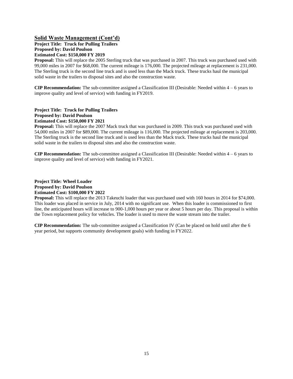#### **Solid Waste Management (Cont'd)**

**Project Title: Truck for Pulling Trailers Proposed by: David Poulson Estimated Cost: \$150,000 FY 2019**

**Proposal:** This will replace the 2005 Sterling truck that was purchased in 2007. This truck was purchased used with 99,000 miles in 2007 for \$68,000. The current mileage is 176,000. The projected mileage at replacement is 231,000. The Sterling truck is the second line truck and is used less than the Mack truck. These trucks haul the municipal solid waste in the trailers to disposal sites and also the construction waste.

**CIP Recommendation:** The sub-committee assigned a Classification III (Desirable: Needed within 4 – 6 years to improve quality and level of service) with funding in FY2019.

#### **Project Title: Truck for Pulling Trailers Proposed by: David Poulson Estimated Cost: \$150,000 FY 2021**

**Proposal:** This will replace the 2007 Mack truck that was purchased in 2009. This truck was purchased used with 54,000 miles in 2007 for \$89,000. The current mileage is 116,000. The projected mileage at replacement is 203,000. The Sterling truck is the second line truck and is used less than the Mack truck. These trucks haul the municipal solid waste in the trailers to disposal sites and also the construction waste.

**CIP Recommendation:** The sub-committee assigned a Classification III (Desirable: Needed within 4 – 6 years to improve quality and level of service) with funding in FY2021.

#### **Project Title: Wheel Loader Proposed by: David Poulson Estimated Cost: \$100,000 FY 2022**

**Proposal:** This will replace the 2013 Takeuchi loader that was purchased used with 160 hours in 2014 for \$74,000. This loader was placed in service in July, 2014 with no significant use. When this loader is commissioned to first line, the anticipated hours will increase to 900-1,000 hours per year or about 5 hours per day. This proposal is within the Town replacement policy for vehicles. The loader is used to move the waste stream into the trailer.

**CIP Recommendation:** The sub-committee assigned a Classification IV (Can be placed on hold until after the 6 year period, but supports community development goals) with funding in FY2022.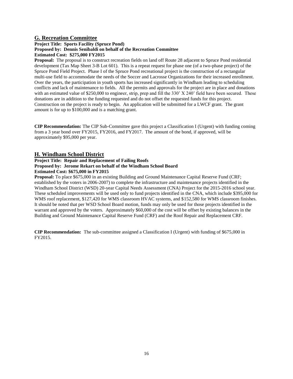#### **G. Recreation Committee**

#### **Project Title: Sports Facility (Spruce Pond) Proposed by: Dennis Senibaldi on behalf of the Recreation Committee Estimated Cost: \$275,000 FY2015**

**Proposal:** The proposal is to construct recreation fields on land off Route 28 adjacent to Spruce Pond residential development (Tax Map Sheet 3-B Lot 601). This is a repeat request for phase one (of a two-phase project) of the Spruce Pond Field Project. Phase I of the Spruce Pond recreational project is the construction of a rectangular multi-use field to accommodate the needs of the Soccer and Lacrosse Organizations for their increased enrollment. Over the years, the participation in youth sports has increased significantly in Windham leading to scheduling conflicts and lack of maintenance to fields. All the permits and approvals for the project are in place and donations with an estimated value of \$250,000 to engineer, strip, prep and fill the 330' X 240' field have been secured. These donations are in addition to the funding requested and do not offset the requested funds for this project. Construction on the project is ready to begin. An application will be submitted for a LWCF grant. The grant amount is for up to \$100,000 and is a matching grant.

**CIP Recommendation:** The CIP Sub-Committee gave this project a Classification I (Urgent) with funding coming from a 3 year bond over FY2015, FY2016, and FY2017. The amount of the bond, if approved, will be approximately \$95,000 per year.

#### **H. Windham School District**

#### **Project Title: Repair and Replacement of Failing Roofs Proposed by: Jerome Rekart on behalf of the Windham School Board Estimated Cost: \$675,000 in FY2015**

**Proposal:** To place \$675,000 in an existing Building and Ground Maintenance Capital Reserve Fund (CRF; established by the voters in 2006-2007) to complete the infrastructure and maintenance projects identified in the Windham School District (WSD) 20-year Capital Needs Assessment (CNA) Project for the 2015-2016 school year. These scheduled improvements will be used only to fund projects identified in the CNA, which include \$395,000 for WMS roof replacement, \$127,420 for WMS classroom HVAC systems, and \$152,580 for WMS classroom finishes. It should be noted that per WSD School Board motion, funds may only be used for those projects identified in the warrant and approved by the voters. Approximately \$60,000 of the cost will be offset by existing balances in the Building and Ground Maintenance Capital Reserve Fund (CRF) and the Roof Repair and Replacement CRF.

**CIP Recommendation:** The sub-committee assigned a Classification I (Urgent) with funding of \$675,000 in FY2015.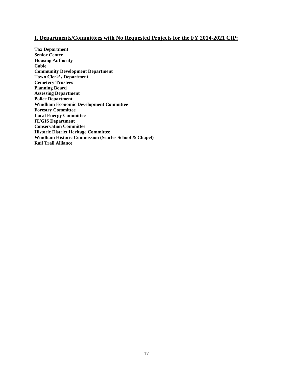### **I. Departments/Committees with No Requested Projects for the FY 2014-2021 CIP:**

**Tax Department Senior Center Housing Authority Cable Community Development Department Town Clerk's Department Cemetery Trustees Planning Board Assessing Department Police Department Windham Economic Development Committee Forestry Committee Local Energy Committee IT/GIS Department Conservation Committee Historic District Heritage Committee Windham Historic Commission (Searles School & Chapel) Rail Trail Alliance**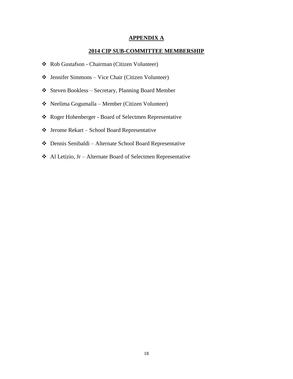#### **APPENDIX A**

#### **2014 CIP SUB-COMMITTEE MEMBERSHIP**

- Rob Gustafson Chairman (Citizen Volunteer)
- $\triangleq$  Jennifer Simmons Vice Chair (Citizen Volunteer)
- Steven Bookless Secretary, Planning Board Member
- Neelima Gogumalla Member (Citizen Volunteer)
- Roger Hohenberger Board of Selectmen Representative
- Jerome Rekart School Board Representative
- Dennis Senibaldi Alternate School Board Representative
- Al Letizio, Jr Alternate Board of Selectmen Representative